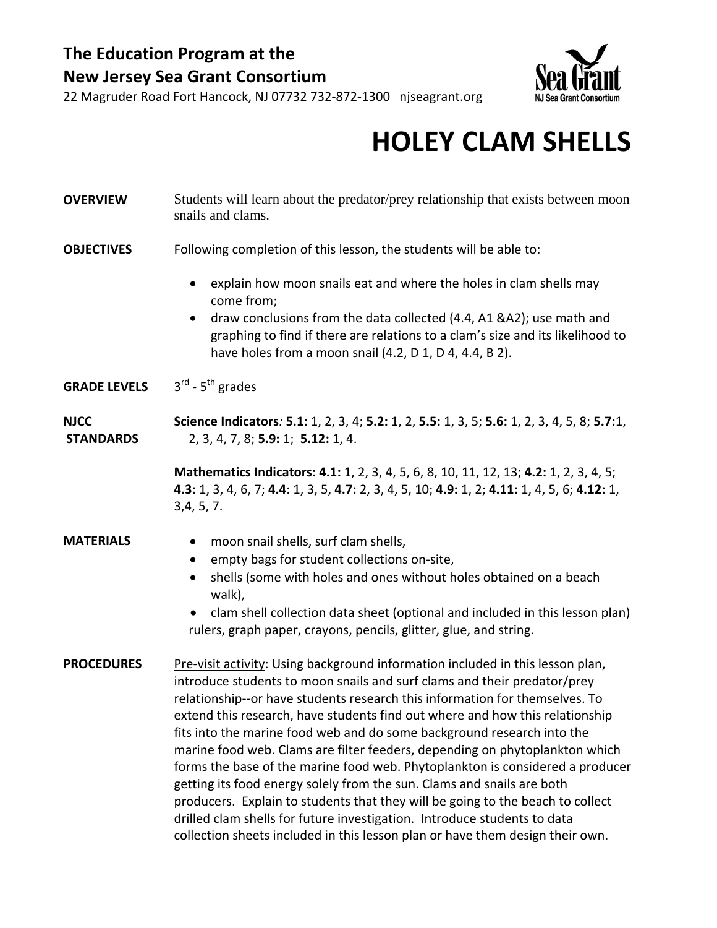### **The Education Program at the New Jersey Sea Grant Consortium**



22 Magruder Road Fort Hancock, NJ 07732 732‐872‐1300 njseagrant.org

## **HOLEY CLAM SHELLS**

## **OVERVIEW** Students will learn about the predator/prey relationship that exists between moon snails and clams. **OBJECTIVES** Following completion of this lesson, the students will be able to:

- explain how moon snails eat and where the holes in clam shells may come from;
- draw conclusions from the data collected (4.4, A1 &A2); use math and graphing to find if there are relations to a clam's size and its likelihood to have holes from a moon snail (4.2, D 1, D 4, 4.4, B 2).
- **GRADE LEVELS** 3rd ‐ 5th grades

**NJCC STANDARDS Science Indicators***:* **5.1:** 1, 2, 3, 4; **5.2:** 1, 2, **5.5:** 1, 3, 5; **5.6:** 1, 2, 3, 4, 5, 8; **5.7:**1, 2, 3, 4, 7, 8; **5.9:** 1; **5.12:** 1, 4.

> **Mathematics Indicators: 4.1:** 1, 2, 3, 4, 5, 6, 8, 10, 11, 12, 13; **4.2:** 1, 2, 3, 4, 5; **4.3:** 1, 3, 4, 6, 7; **4.4**: 1, 3, 5, **4.7:** 2, 3, 4, 5, 10; **4.9:** 1, 2; **4.11:** 1, 4, 5, 6; **4.12:** 1, 3,4, 5, 7.

- **MATERIALS** moon snail shells, surf clam shells,
	- empty bags for student collections on‐site,
	- shells (some with holes and ones without holes obtained on a beach walk),
	- clam shell collection data sheet (optional and included in this lesson plan) rulers, graph paper, crayons, pencils, glitter, glue, and string.

**PROCEDURES** Pre-visit activity: Using background information included in this lesson plan, introduce students to moon snails and surf clams and their predator/prey relationship‐‐or have students research this information for themselves. To extend this research, have students find out where and how this relationship fits into the marine food web and do some background research into the marine food web. Clams are filter feeders, depending on phytoplankton which forms the base of the marine food web. Phytoplankton is considered a producer getting its food energy solely from the sun. Clams and snails are both producers. Explain to students that they will be going to the beach to collect drilled clam shells for future investigation. Introduce students to data collection sheets included in this lesson plan or have them design their own.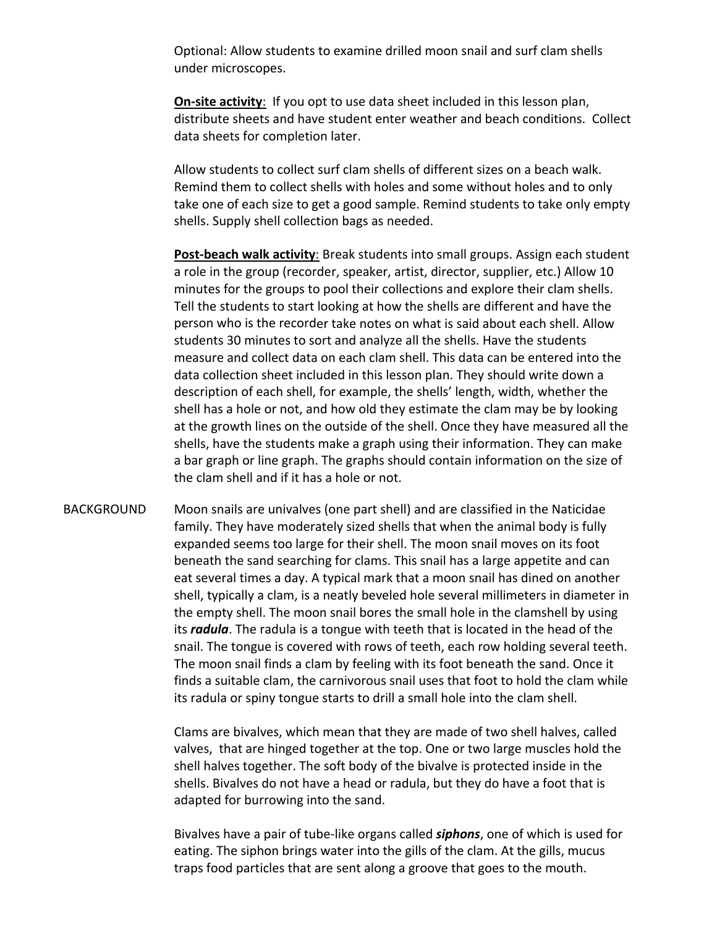Optional: Allow students to examine drilled moon snail and surf clam shells under microscopes.

**On-site activity:** If you opt to use data sheet included in this lesson plan, distribute sheets and have student enter weather and beach conditions. Collect data sheets for completion later.

Allow students to collect surf clam shells of different sizes on a beach walk. Remind them to collect shells with holes and some without holes and to only take one of each size to get a good sample. Remind students to take only empty shells. Supply shell collection bags as needed.

**Post‐beach walk activity**: Break students into small groups. Assign each student a role in the group (recorder, speaker, artist, director, supplier, etc.) Allow 10 minutes for the groups to pool their collections and explore their clam shells. Tell the students to start looking at how the shells are different and have the person who is the recorder take notes on what is said about each shell. Allow students 30 minutes to sort and analyze all the shells. Have the students measure and collect data on each clam shell. This data can be entered into the data collection sheet included in this lesson plan. They should write down a description of each shell, for example, the shells' length, width, whether the shell has a hole or not, and how old they estimate the clam may be by looking at the growth lines on the outside of the shell. Once they have measured all the shells, have the students make a graph using their information. They can make a bar graph or line graph. The graphs should contain information on the size of the clam shell and if it has a hole or not.

BACKGROUND Moon snails are univalves (one part shell) and are classified in the Naticidae family. They have moderately sized shells that when the animal body is fully expanded seems too large for their shell. The moon snail moves on its foot beneath the sand searching for clams. This snail has a large appetite and can eat several times a day. A typical mark that a moon snail has dined on another shell, typically a clam, is a neatly beveled hole several millimeters in diameter in the empty shell. The moon snail bores the small hole in the clamshell by using its *radula*. The radula is a tongue with teeth that is located in the head of the snail. The tongue is covered with rows of teeth, each row holding several teeth. The moon snail finds a clam by feeling with its foot beneath the sand. Once it finds a suitable clam, the carnivorous snail uses that foot to hold the clam while its radula or spiny tongue starts to drill a small hole into the clam shell.

> Clams are bivalves, which mean that they are made of two shell halves, called valves, that are hinged together at the top. One or two large muscles hold the shell halves together. The soft body of the bivalve is protected inside in the shells. Bivalves do not have a head or radula, but they do have a foot that is adapted for burrowing into the sand.

> Bivalves have a pair of tube‐like organs called *siphons*, one of which is used for eating. The siphon brings water into the gills of the clam. At the gills, mucus traps food particles that are sent along a groove that goes to the mouth.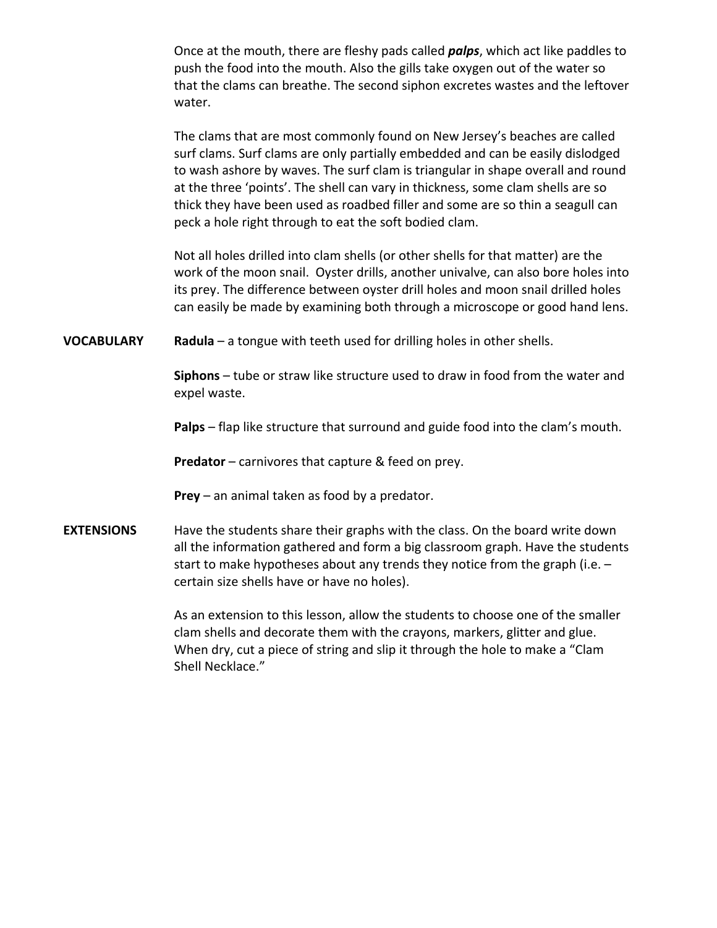Once at the mouth, there are fleshy pads called *palps*, which act like paddles to push the food into the mouth. Also the gills take oxygen out of the water so that the clams can breathe. The second siphon excretes wastes and the leftover water.

The clams that are most commonly found on New Jersey's beaches are called surf clams. Surf clams are only partially embedded and can be easily dislodged to wash ashore by waves. The surf clam is triangular in shape overall and round at the three 'points'. The shell can vary in thickness, some clam shells are so thick they have been used as roadbed filler and some are so thin a seagull can peck a hole right through to eat the soft bodied clam. 

Not all holes drilled into clam shells (or other shells for that matter) are the work of the moon snail. Oyster drills, another univalve, can also bore holes into its prey. The difference between oyster drill holes and moon snail drilled holes can easily be made by examining both through a microscope or good hand lens.

**VOCABULARY Radula** – a tongue with teeth used for drilling holes in other shells.

**Siphons** – tube or straw like structure used to draw in food from the water and expel waste.

**Palps** – flap like structure that surround and guide food into the clam's mouth.

**Predator** – carnivores that capture & feed on prey.

**Prey** – an animal taken as food by a predator.

**EXTENSIONS** Have the students share their graphs with the class. On the board write down all the information gathered and form a big classroom graph. Have the students start to make hypotheses about any trends they notice from the graph (i.e. – certain size shells have or have no holes).

> As an extension to this lesson, allow the students to choose one of the smaller clam shells and decorate them with the crayons, markers, glitter and glue. When dry, cut a piece of string and slip it through the hole to make a "Clam Shell Necklace."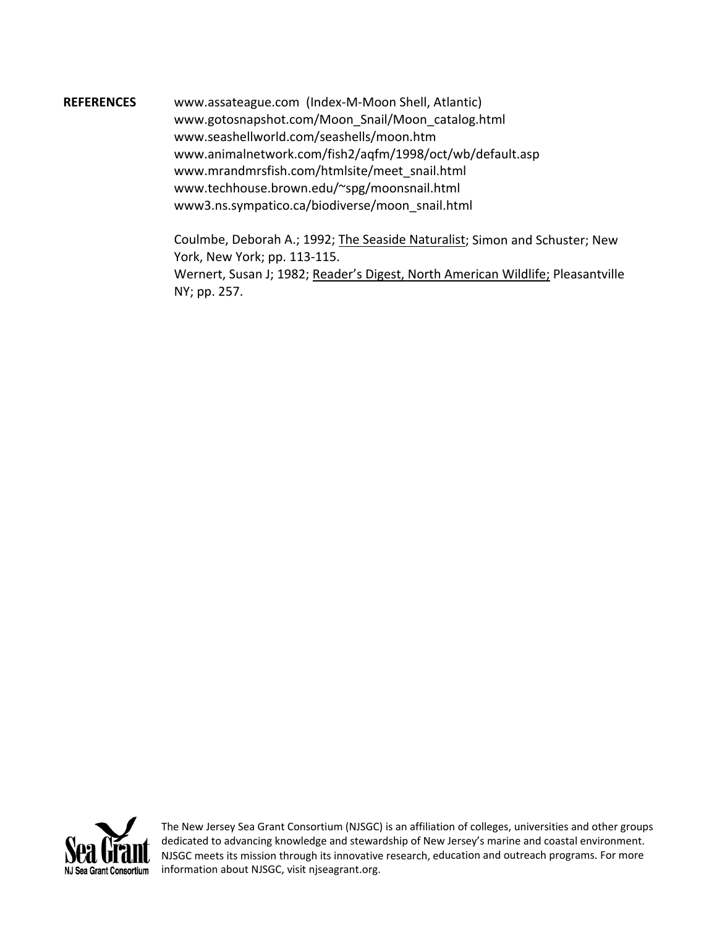**REFERENCES** www.assateague.com (Index‐M‐Moon Shell, Atlantic) www.gotosnapshot.com/Moon\_Snail/Moon\_catalog.html www.seashellworld.com/seashells/moon.htm www.animalnetwork.com/fish2/aqfm/1998/oct/wb/default.asp www.mrandmrsfish.com/htmlsite/meet\_snail.html www.techhouse.brown.edu/~spg/moonsnail.html www3.ns.sympatico.ca/biodiverse/moon\_snail.html

> Coulmbe, Deborah A.; 1992; The Seaside Naturalist; Simon and Schuster; New York, New York; pp. 113‐115. Wernert, Susan J; 1982; Reader's Digest, North American Wildlife; Pleasantville NY; pp. 257.



The New Jersey Sea Grant Consortium (NJSGC) is an affiliation of colleges, universities and other groups dedicated to advancing knowledge and stewardship of New Jersey's marine and coastal environment. NJSGC meets its mission through its innovative research, education and outreach programs. For more information about NJSGC, visit njseagrant.org.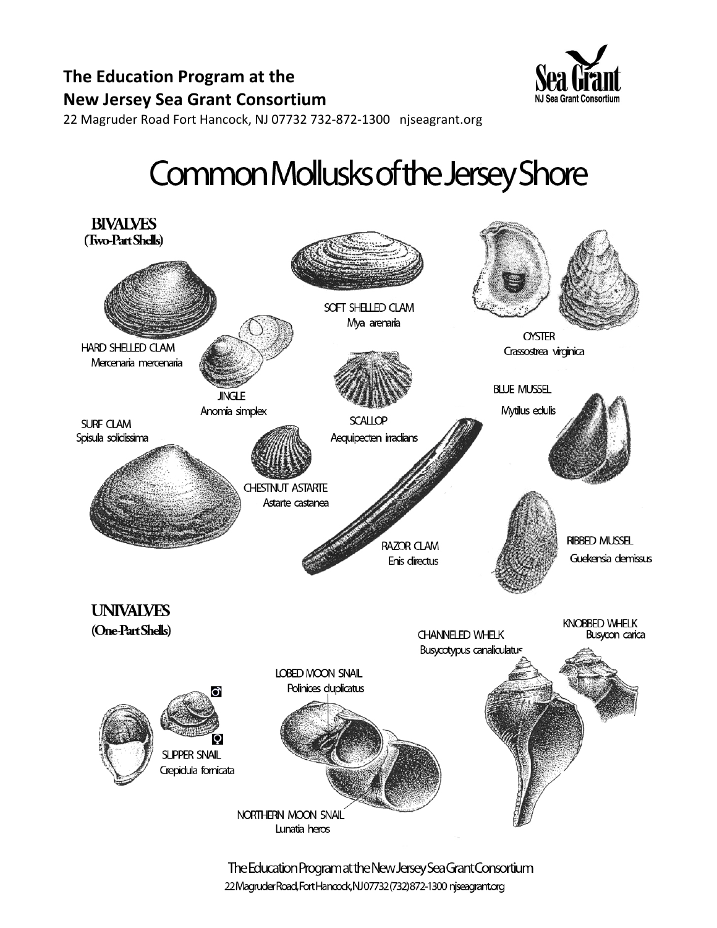

22 Magruder Road Fort Hancock, NJ 07732 732-872-1300 njseagrant.org

# Common Mollusks of the Jersey Shore



The Education Program at the New Jersey Sea Grant Consortium 22 Magruder Road, Fort Hancock, NJ07732 (732) 872-1300 njseagrant.org